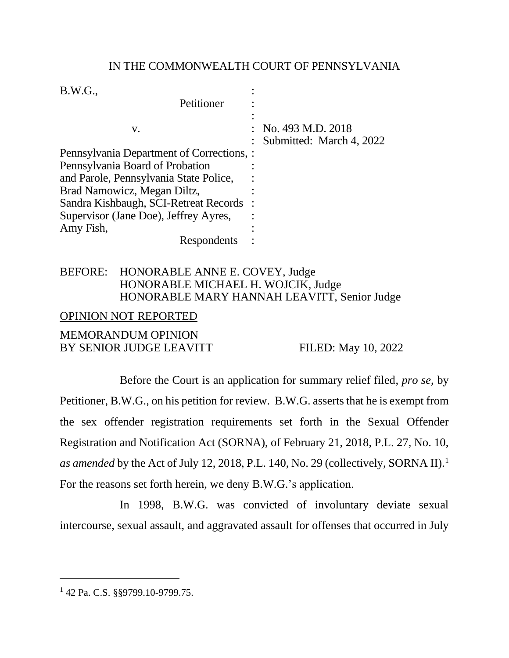## IN THE COMMONWEALTH COURT OF PENNSYLVANIA

| B.W.G.,<br>Petitioner                     |                                                            |
|-------------------------------------------|------------------------------------------------------------|
| V.                                        | $\therefore$ No. 493 M.D. 2018<br>Submitted: March 4, 2022 |
| Pennsylvania Department of Corrections, : |                                                            |
| Pennsylvania Board of Probation           |                                                            |
| and Parole, Pennsylvania State Police,    |                                                            |
| Brad Namowicz, Megan Diltz,               |                                                            |
| Sandra Kishbaugh, SCI-Retreat Records     |                                                            |
| Supervisor (Jane Doe), Jeffrey Ayres,     |                                                            |
| Amy Fish,                                 |                                                            |
| Respondents                               |                                                            |

## BEFORE: HONORABLE ANNE E. COVEY, Judge HONORABLE MICHAEL H. WOJCIK, Judge HONORABLE MARY HANNAH LEAVITT, Senior Judge

## OPINION NOT REPORTED

## MEMORANDUM OPINION BY SENIOR JUDGE LEAVITT FILED: May 10, 2022

Before the Court is an application for summary relief filed, *pro se*, by Petitioner, B.W.G., on his petition for review. B.W.G. asserts that he is exempt from the sex offender registration requirements set forth in the Sexual Offender Registration and Notification Act (SORNA), of February 21, 2018, P.L. 27, No. 10, *as amended* by the Act of July 12, 2018, P.L. 140, No. 29 (collectively, SORNA II).<sup>1</sup> For the reasons set forth herein, we deny B.W.G.'s application.

In 1998, B.W.G. was convicted of involuntary deviate sexual intercourse, sexual assault, and aggravated assault for offenses that occurred in July

<sup>&</sup>lt;sup>1</sup> 42 Pa. C.S. §§9799.10-9799.75.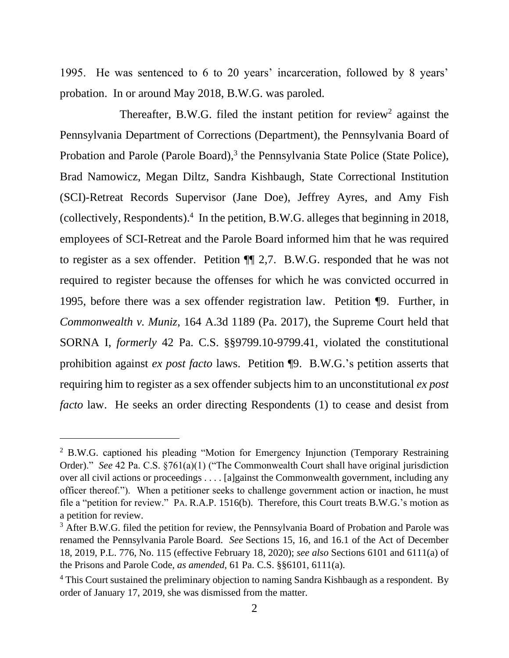1995. He was sentenced to 6 to 20 years' incarceration, followed by 8 years' probation. In or around May 2018, B.W.G. was paroled.

Thereafter, B.W.G. filed the instant petition for review<sup>2</sup> against the Pennsylvania Department of Corrections (Department), the Pennsylvania Board of Probation and Parole (Parole Board),<sup>3</sup> the Pennsylvania State Police (State Police), Brad Namowicz, Megan Diltz, Sandra Kishbaugh, State Correctional Institution (SCI)-Retreat Records Supervisor (Jane Doe), Jeffrey Ayres, and Amy Fish (collectively, Respondents). 4 In the petition, B.W.G. alleges that beginning in 2018, employees of SCI-Retreat and the Parole Board informed him that he was required to register as a sex offender. Petition ¶¶ 2,7. B.W.G. responded that he was not required to register because the offenses for which he was convicted occurred in 1995, before there was a sex offender registration law. Petition ¶9. Further, in *Commonwealth v. Muniz*, 164 A.3d 1189 (Pa. 2017), the Supreme Court held that SORNA I, *formerly* 42 Pa. C.S. §§9799.10-9799.41, violated the constitutional prohibition against *ex post facto* laws. Petition ¶9. B.W.G.'s petition asserts that requiring him to register as a sex offender subjects him to an unconstitutional *ex post facto* law. He seeks an order directing Respondents (1) to cease and desist from

<sup>&</sup>lt;sup>2</sup> B.W.G. captioned his pleading "Motion for Emergency Injunction (Temporary Restraining Order)." *See* 42 Pa. C.S. §761(a)(1) ("The Commonwealth Court shall have original jurisdiction over all civil actions or proceedings . . . . [a]gainst the Commonwealth government, including any officer thereof."). When a petitioner seeks to challenge government action or inaction, he must file a "petition for review." PA. R.A.P. 1516(b). Therefore, this Court treats B.W.G.'s motion as a petition for review.

<sup>&</sup>lt;sup>3</sup> After B.W.G. filed the petition for review, the Pennsylvania Board of Probation and Parole was renamed the Pennsylvania Parole Board. *See* Sections 15, 16, and 16.1 of the Act of December 18, 2019, P.L. 776, No. 115 (effective February 18, 2020); *see also* Sections 6101 and 6111(a) of the Prisons and Parole Code, *as amended*, 61 Pa. C.S. §§6101, 6111(a).

 $4$  This Court sustained the preliminary objection to naming Sandra Kishbaugh as a respondent. By order of January 17, 2019, she was dismissed from the matter.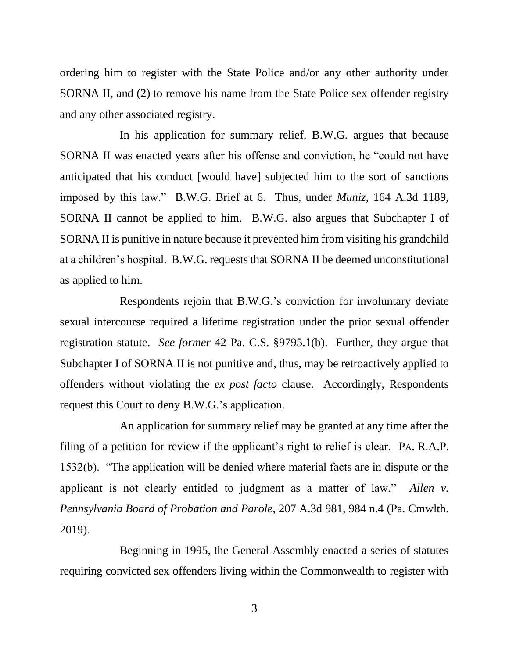ordering him to register with the State Police and/or any other authority under SORNA II, and (2) to remove his name from the State Police sex offender registry and any other associated registry.

In his application for summary relief, B.W.G. argues that because SORNA II was enacted years after his offense and conviction, he "could not have anticipated that his conduct [would have] subjected him to the sort of sanctions imposed by this law." B.W.G. Brief at 6. Thus, under *Muniz*, 164 A.3d 1189, SORNA II cannot be applied to him. B.W.G. also argues that Subchapter I of SORNA II is punitive in nature because it prevented him from visiting his grandchild at a children's hospital. B.W.G. requests that SORNA II be deemed unconstitutional as applied to him.

Respondents rejoin that B.W.G.'s conviction for involuntary deviate sexual intercourse required a lifetime registration under the prior sexual offender registration statute. *See former* 42 Pa. C.S. §9795.1(b). Further, they argue that Subchapter I of SORNA II is not punitive and, thus, may be retroactively applied to offenders without violating the *ex post facto* clause. Accordingly, Respondents request this Court to deny B.W.G.'s application.

An application for summary relief may be granted at any time after the filing of a petition for review if the applicant's right to relief is clear. PA. R.A.P. 1532(b). "The application will be denied where material facts are in dispute or the applicant is not clearly entitled to judgment as a matter of law." *Allen v. Pennsylvania Board of Probation and Parole*, 207 A.3d 981, 984 n.4 (Pa. Cmwlth. 2019).

Beginning in 1995, the General Assembly enacted a series of statutes requiring convicted sex offenders living within the Commonwealth to register with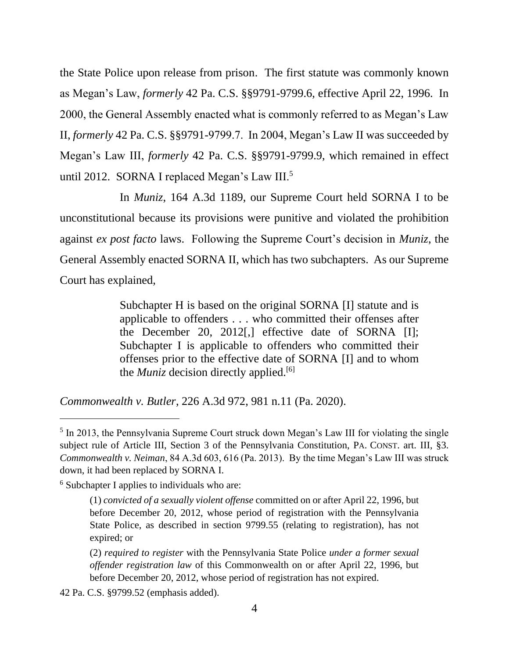the State Police upon release from prison. The first statute was commonly known as Megan's Law, *formerly* 42 Pa. C.S. §§9791-9799.6, effective April 22, 1996. In 2000, the General Assembly enacted what is commonly referred to as Megan's Law II, *formerly* 42 Pa. C.S. §§9791-9799.7. In 2004, Megan's Law II was succeeded by Megan's Law III, *formerly* 42 Pa. C.S. §§9791-9799.9, which remained in effect until 2012. SORNA I replaced Megan's Law III.<sup>5</sup>

In *Muniz*, 164 A.3d 1189, our Supreme Court held SORNA I to be unconstitutional because its provisions were punitive and violated the prohibition against *ex post facto* laws. Following the Supreme Court's decision in *Muniz*, the General Assembly enacted SORNA II, which has two subchapters. As our Supreme Court has explained,

> Subchapter H is based on the original SORNA [I] statute and is applicable to offenders . . . who committed their offenses after the December 20, 2012[,] effective date of SORNA [I]; Subchapter I is applicable to offenders who committed their offenses prior to the effective date of SORNA [I] and to whom the *Muniz* decision directly applied.<sup>[6]</sup>

*Commonwealth v. Butler*, 226 A.3d 972, 981 n.11 (Pa. 2020).

<sup>6</sup> Subchapter I applies to individuals who are:

<sup>&</sup>lt;sup>5</sup> In 2013, the Pennsylvania Supreme Court struck down Megan's Law III for violating the single subject rule of Article III, Section 3 of the Pennsylvania Constitution, PA. CONST. art. III, §3. *Commonwealth v. Neiman*, 84 A.3d 603, 616 (Pa. 2013). By the time Megan's Law III was struck down, it had been replaced by SORNA I.

<sup>(1)</sup> *convicted of a sexually violent offense* committed on or after April 22, 1996, but before December 20, 2012, whose period of registration with the Pennsylvania State Police, as described in section 9799.55 (relating to registration), has not expired; or

<sup>(2)</sup> *required to register* with the Pennsylvania State Police *under a former sexual offender registration law* of this Commonwealth on or after April 22, 1996, but before December 20, 2012, whose period of registration has not expired.

<sup>42</sup> Pa. C.S. §9799.52 (emphasis added).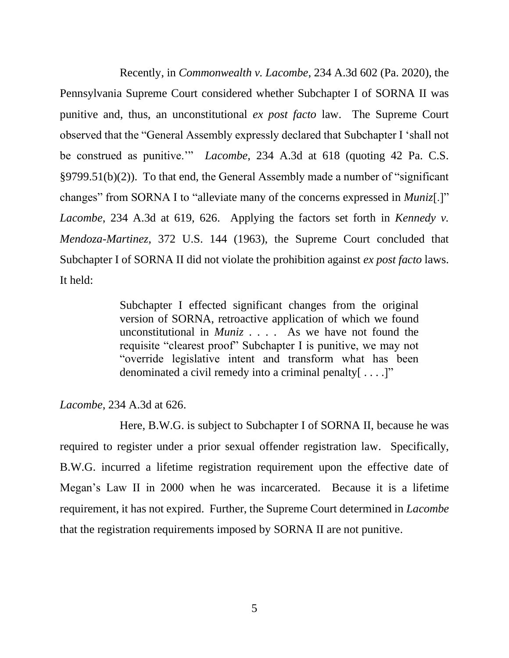Recently, in *Commonwealth v. Lacombe*, 234 A.3d 602 (Pa. 2020), the Pennsylvania Supreme Court considered whether Subchapter I of SORNA II was punitive and, thus, an unconstitutional *ex post facto* law. The Supreme Court observed that the "General Assembly expressly declared that Subchapter I 'shall not be construed as punitive.'" *Lacombe*, 234 A.3d at 618 (quoting 42 Pa. C.S. §9799.51(b)(2)). To that end, the General Assembly made a number of "significant changes" from SORNA I to "alleviate many of the concerns expressed in *Muniz*[.]" *Lacombe*, 234 A.3d at 619, 626. Applying the factors set forth in *Kennedy v. Mendoza-Martinez*, 372 U.S. 144 (1963), the Supreme Court concluded that Subchapter I of SORNA II did not violate the prohibition against *ex post facto* laws. It held:

> Subchapter I effected significant changes from the original version of SORNA, retroactive application of which we found unconstitutional in *Muniz* . . . . As we have not found the requisite "clearest proof" Subchapter I is punitive, we may not "override legislative intent and transform what has been denominated a civil remedy into a criminal penalty [....]"

#### *Lacombe*, 234 A.3d at 626.

Here, B.W.G. is subject to Subchapter I of SORNA II, because he was required to register under a prior sexual offender registration law. Specifically, B.W.G. incurred a lifetime registration requirement upon the effective date of Megan's Law II in 2000 when he was incarcerated. Because it is a lifetime requirement, it has not expired. Further, the Supreme Court determined in *Lacombe* that the registration requirements imposed by SORNA II are not punitive.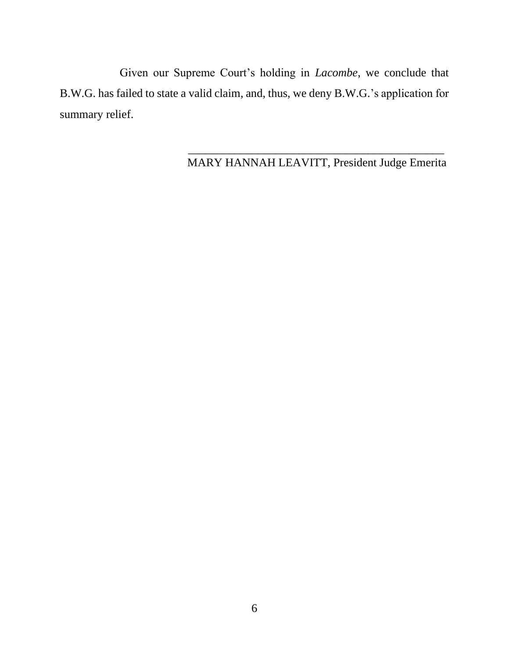Given our Supreme Court's holding in *Lacombe*, we conclude that B.W.G. has failed to state a valid claim, and, thus, we deny B.W.G.'s application for summary relief.

MARY HANNAH LEAVITT, President Judge Emerita

 $\overline{\phantom{a}}$  , and the contract of the contract of the contract of the contract of the contract of the contract of the contract of the contract of the contract of the contract of the contract of the contract of the contrac